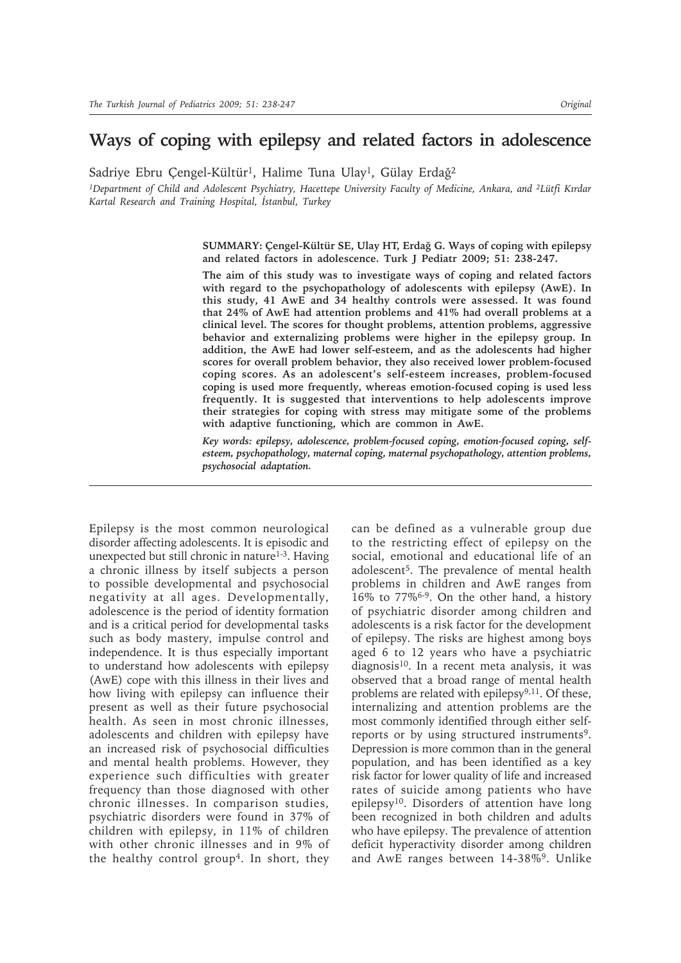# **Ways of coping with epilepsy and related factors in adolescence**

Sadriye Ebru Çengel-Kültür<sup>1</sup>, Halime Tuna Ulay<sup>1</sup>, Gülay Erdağ<sup>2</sup>

*1Department of Child and Adolescent Psychiatry, Hacettepe University Faculty of Medicine, Ankara, and 2Lütfi Kırdar Kartal Research and Training Hospital, İstanbul, Turkey*

> **SUMMARY: Çengel-Kültür SE, Ulay HT, Erdağ G. Ways of coping with epilepsy and related factors in adolescence. Turk J Pediatr 2009; 51: 238-247.**

> **The aim of this study was to investigate ways of coping and related factors with regard to the psychopathology of adolescents with epilepsy (AwE). In this study, 41 AwE and 34 healthy controls were assessed. It was found that 24% of AwE had attention problems and 41% had overall problems at a clinical level. The scores for thought problems, attention problems, aggressive behavior and externalizing problems were higher in the epilepsy group. In addition, the AwE had lower self-esteem, and as the adolescents had higher scores for overall problem behavior, they also received lower problem-focused coping scores. As an adolescent's self-esteem increases, problem-focused coping is used more frequently, whereas emotion-focused coping is used less frequently. It is suggested that interventions to help adolescents improve their strategies for coping with stress may mitigate some of the problems with adaptive functioning, which are common in AwE.**

> *Key words: epilepsy, adolescence, problem-focused coping, emotion-focused coping, selfesteem, psychopathology, maternal coping, maternal psychopathology, attention problems, psychosocial adaptation.*

Epilepsy is the most common neurological disorder affecting adolescents. It is episodic and unexpected but still chronic in nature<sup>1-3</sup>. Having a chronic illness by itself subjects a person to possible developmental and psychosocial negativity at all ages. Developmentally, adolescence is the period of identity formation and is a critical period for developmental tasks such as body mastery, impulse control and independence. It is thus especially important to understand how adolescents with epilepsy (AwE) cope with this illness in their lives and how living with epilepsy can influence their present as well as their future psychosocial health. As seen in most chronic illnesses, adolescents and children with epilepsy have an increased risk of psychosocial difficulties and mental health problems. However, they experience such difficulties with greater frequency than those diagnosed with other chronic illnesses. In comparison studies, psychiatric disorders were found in 37% of children with epilepsy, in 11% of children with other chronic illnesses and in 9% of the healthy control group4. In short, they can be defined as a vulnerable group due to the restricting effect of epilepsy on the social, emotional and educational life of an adolescent5. The prevalence of mental health problems in children and AwE ranges from 16% to 77%6-9. On the other hand, a history of psychiatric disorder among children and adolescents is a risk factor for the development of epilepsy. The risks are highest among boys aged 6 to 12 years who have a psychiatric diagnosis<sup>10</sup>. In a recent meta analysis, it was observed that a broad range of mental health problems are related with epilepsy<sup>9,11</sup>. Of these, internalizing and attention problems are the most commonly identified through either selfreports or by using structured instruments<sup>9</sup>. Depression is more common than in the general population, and has been identified as a key risk factor for lower quality of life and increased rates of suicide among patients who have epilepsy<sup>10</sup>. Disorders of attention have long been recognized in both children and adults who have epilepsy. The prevalence of attention deficit hyperactivity disorder among children and AwE ranges between 14-38%<sup>9</sup>. Unlike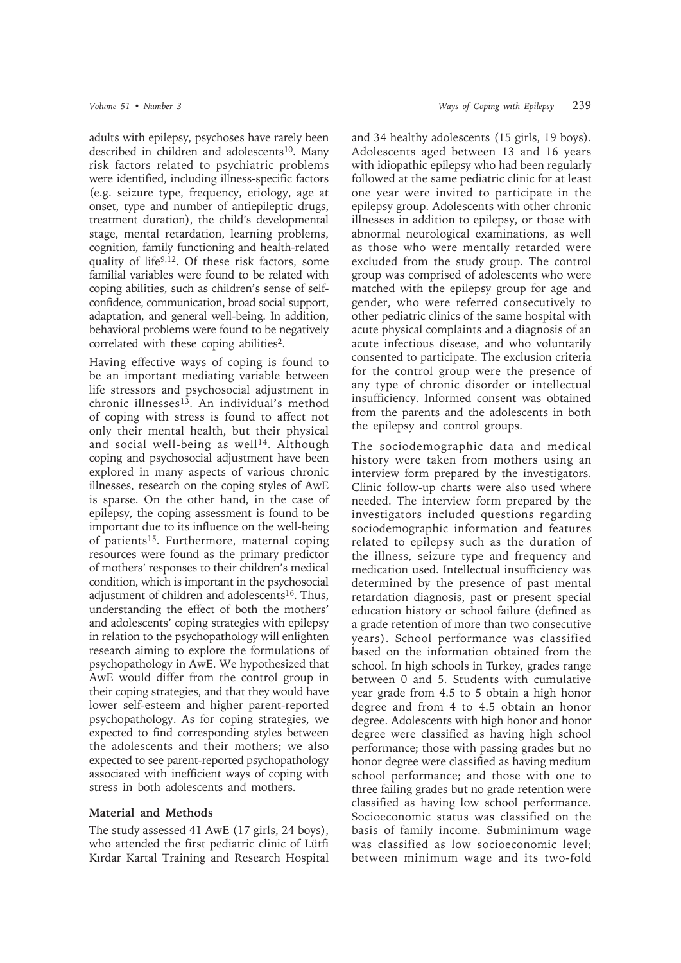adults with epilepsy, psychoses have rarely been described in children and adolescents<sup>10</sup>. Many risk factors related to psychiatric problems were identified, including illness-specific factors (e.g. seizure type, frequency, etiology, age at onset, type and number of antiepileptic drugs, treatment duration), the child's developmental stage, mental retardation, learning problems, cognition, family functioning and health-related quality of life9,12. Of these risk factors, some familial variables were found to be related with coping abilities, such as children's sense of selfconfidence, communication, broad social support, adaptation, and general well-being. In addition, behavioral problems were found to be negatively correlated with these coping abilities<sup>2</sup>.

Having effective ways of coping is found to be an important mediating variable between life stressors and psychosocial adjustment in chronic illnesses<sup>13</sup>. An individual's method of coping with stress is found to affect not only their mental health, but their physical and social well-being as well<sup>14</sup>. Although coping and psychosocial adjustment have been explored in many aspects of various chronic illnesses, research on the coping styles of AwE is sparse. On the other hand, in the case of epilepsy, the coping assessment is found to be important due to its influence on the well-being of patients<sup>15</sup>. Furthermore, maternal coping resources were found as the primary predictor of mothers' responses to their children's medical condition, which is important in the psychosocial adjustment of children and adolescents<sup>16</sup>. Thus, understanding the effect of both the mothers' and adolescents' coping strategies with epilepsy in relation to the psychopathology will enlighten research aiming to explore the formulations of psychopathology in AwE. We hypothesized that AwE would differ from the control group in their coping strategies, and that they would have lower self-esteem and higher parent-reported psychopathology. As for coping strategies, we expected to find corresponding styles between the adolescents and their mothers; we also expected to see parent-reported psychopathology associated with inefficient ways of coping with stress in both adolescents and mothers.

# **Material and Methods**

The study assessed 41 AwE (17 girls, 24 boys), who attended the first pediatric clinic of Lütfi Kırdar Kartal Training and Research Hospital and 34 healthy adolescents (15 girls, 19 boys). Adolescents aged between 13 and 16 years with idiopathic epilepsy who had been regularly followed at the same pediatric clinic for at least one year were invited to participate in the epilepsy group. Adolescents with other chronic illnesses in addition to epilepsy, or those with abnormal neurological examinations, as well as those who were mentally retarded were excluded from the study group. The control group was comprised of adolescents who were matched with the epilepsy group for age and gender, who were referred consecutively to other pediatric clinics of the same hospital with acute physical complaints and a diagnosis of an acute infectious disease, and who voluntarily consented to participate. The exclusion criteria for the control group were the presence of any type of chronic disorder or intellectual insufficiency. Informed consent was obtained from the parents and the adolescents in both the epilepsy and control groups.

The sociodemographic data and medical history were taken from mothers using an interview form prepared by the investigators. Clinic follow-up charts were also used where needed. The interview form prepared by the investigators included questions regarding sociodemographic information and features related to epilepsy such as the duration of the illness, seizure type and frequency and medication used. Intellectual insufficiency was determined by the presence of past mental retardation diagnosis, past or present special education history or school failure (defined as a grade retention of more than two consecutive years). School performance was classified based on the information obtained from the school. In high schools in Turkey, grades range between 0 and 5. Students with cumulative year grade from 4.5 to 5 obtain a high honor degree and from 4 to 4.5 obtain an honor degree. Adolescents with high honor and honor degree were classified as having high school performance; those with passing grades but no honor degree were classified as having medium school performance; and those with one to three failing grades but no grade retention were classified as having low school performance. Socioeconomic status was classified on the basis of family income. Subminimum wage was classified as low socioeconomic level; between minimum wage and its two-fold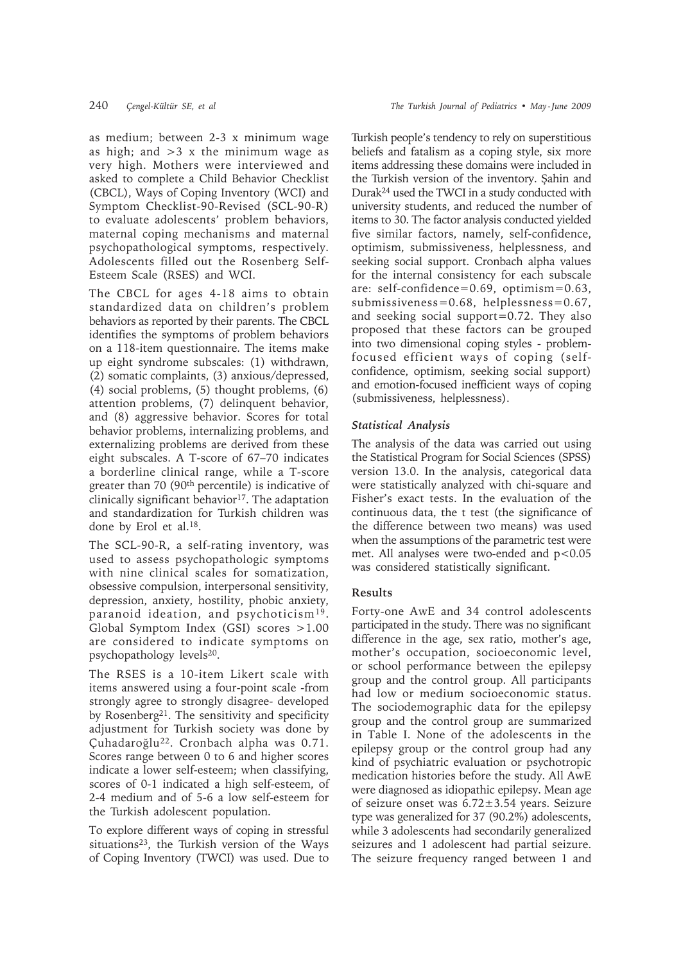as medium; between 2-3 x minimum wage as high; and  $>3$  x the minimum wage as very high. Mothers were interviewed and asked to complete a Child Behavior Checklist (CBCL), Ways of Coping Inventory (WCI) and Symptom Checklist-90-Revised (SCL-90-R) to evaluate adolescents' problem behaviors, maternal coping mechanisms and maternal psychopathological symptoms, respectively. Adolescents filled out the Rosenberg Self-Esteem Scale (RSES) and WCI.

The CBCL for ages 4-18 aims to obtain standardized data on children's problem behaviors as reported by their parents. The CBCL identifies the symptoms of problem behaviors on a 118-item questionnaire. The items make up eight syndrome subscales: (1) withdrawn, (2) somatic complaints, (3) anxious/depressed, (4) social problems, (5) thought problems, (6) attention problems, (7) delinquent behavior, and (8) aggressive behavior. Scores for total behavior problems, internalizing problems, and externalizing problems are derived from these eight subscales. A T-score of 67–70 indicates a borderline clinical range, while a T-score greater than 70 (90th percentile) is indicative of clinically significant behavior<sup>17</sup>. The adaptation and standardization for Turkish children was done by Erol et al.18.

The SCL-90-R, a self-rating inventory, was used to assess psychopathologic symptoms with nine clinical scales for somatization, obsessive compulsion, interpersonal sensitivity, depression, anxiety, hostility, phobic anxiety, paranoid ideation, and psychoticism19. Global Symptom Index (GSI) scores >1.00 are considered to indicate symptoms on psychopathology levels<sup>20</sup>.

The RSES is a 10-item Likert scale with items answered using a four-point scale -from strongly agree to strongly disagree- developed by Rosenberg<sup>21</sup>. The sensitivity and specificity adjustment for Turkish society was done by Çuhadaroğlu<sup>22</sup>. Cronbach alpha was 0.71. Scores range between 0 to 6 and higher scores indicate a lower self-esteem; when classifying, scores of 0-1 indicated a high self-esteem, of 2-4 medium and of 5-6 a low self-esteem for the Turkish adolescent population.

To explore different ways of coping in stressful situations<sup>23</sup>, the Turkish version of the Ways of Coping Inventory (TWCI) was used. Due to Turkish people's tendency to rely on superstitious beliefs and fatalism as a coping style, six more items addressing these domains were included in the Turkish version of the inventory. Şahin and Durak24 used the TWCI in a study conducted with university students, and reduced the number of items to 30. The factor analysis conducted yielded five similar factors, namely, self-confidence, optimism, submissiveness, helplessness, and seeking social support. Cronbach alpha values for the internal consistency for each subscale are: self-confidence=0.69, optimism=0.63, submissiveness=0.68, helplessness=0.67, and seeking social support=0.72. They also proposed that these factors can be grouped into two dimensional coping styles - problemfocused efficient ways of coping (selfconfidence, optimism, seeking social support) and emotion-focused inefficient ways of coping (submissiveness, helplessness).

# *Statistical Analysis*

The analysis of the data was carried out using the Statistical Program for Social Sciences (SPSS) version 13.0. In the analysis, categorical data were statistically analyzed with chi-square and Fisher's exact tests. In the evaluation of the continuous data, the t test (the significance of the difference between two means) was used when the assumptions of the parametric test were met. All analyses were two-ended and  $p<0.05$ was considered statistically significant.

### **Results**

Forty-one AwE and 34 control adolescents participated in the study. There was no significant difference in the age, sex ratio, mother's age, mother's occupation, socioeconomic level, or school performance between the epilepsy group and the control group. All participants had low or medium socioeconomic status. The sociodemographic data for the epilepsy group and the control group are summarized in Table I. None of the adolescents in the epilepsy group or the control group had any kind of psychiatric evaluation or psychotropic medication histories before the study. All AwE were diagnosed as idiopathic epilepsy. Mean age of seizure onset was 6.72±3.54 years. Seizure type was generalized for 37 (90.2%) adolescents, while 3 adolescents had secondarily generalized seizures and 1 adolescent had partial seizure. The seizure frequency ranged between 1 and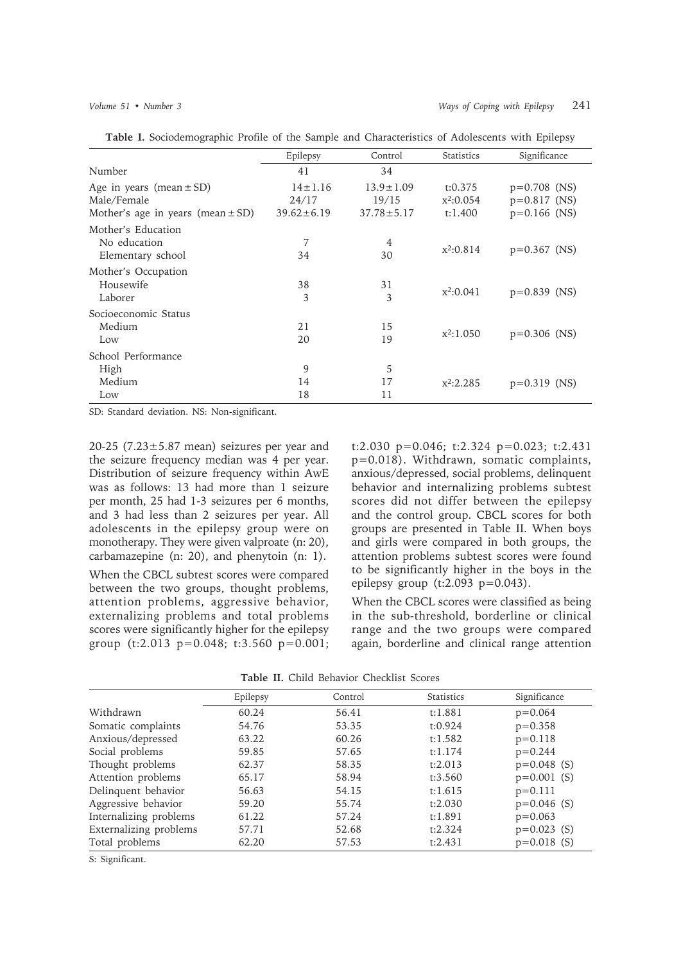|                                                                                      | Epilepsy                                   | Control                                      | Statistics                        | Significance                                       |
|--------------------------------------------------------------------------------------|--------------------------------------------|----------------------------------------------|-----------------------------------|----------------------------------------------------|
| Number                                                                               | 41                                         | 34                                           |                                   |                                                    |
| Age in years (mean $\pm$ SD)<br>Male/Female<br>Mother's age in years (mean $\pm$ SD) | $14 \pm 1.16$<br>24/17<br>$39.62 \pm 6.19$ | $13.9 \pm 1.09$<br>19/15<br>$37.78 \pm 5.17$ | t:0.375<br>$x^2:0.054$<br>t:1.400 | $p=0.708$ (NS)<br>$p=0.817$ (NS)<br>$p=0.166$ (NS) |
| Mother's Education<br>No education<br>Elementary school                              | 7<br>34                                    | 4<br>30                                      | $x^2:0.814$                       | $p=0.367$ (NS)                                     |
| Mother's Occupation<br>Housewife<br>Laborer                                          | 38<br>3                                    | 31<br>3                                      | $x^2:0.041$                       | $p=0.839$ (NS)                                     |
| Socioeconomic Status<br>Medium<br>Low                                                | 21<br>20                                   | 15<br>19                                     | $x^2:1.050$                       | $p=0.306$ (NS)                                     |
| School Performance<br>High<br>Medium<br>Low                                          | 9<br>14<br>18                              | 5<br>17<br>11                                | $x^2:2.285$                       | $p=0.319$ (NS)                                     |

**Table I.** Sociodemographic Profile of the Sample and Characteristics of Adolescents with Epilepsy

SD: Standard deviation. NS: Non-significant.

20-25 (7.23 $\pm$ 5.87 mean) seizures per year and the seizure frequency median was 4 per year. Distribution of seizure frequency within AwE was as follows: 13 had more than 1 seizure per month, 25 had 1-3 seizures per 6 months, and 3 had less than 2 seizures per year. All adolescents in the epilepsy group were on monotherapy. They were given valproate (n: 20), carbamazepine (n: 20), and phenytoin (n: 1).

When the CBCL subtest scores were compared between the two groups, thought problems, attention problems, aggressive behavior, externalizing problems and total problems scores were significantly higher for the epilepsy group (t:2.013 p=0.048; t:3.560 p=0.001; t:2.030 p=0.046; t:2.324 p=0.023; t:2.431 p=0.018). Withdrawn, somatic complaints, anxious/depressed, social problems, delinquent behavior and internalizing problems subtest scores did not differ between the epilepsy and the control group. CBCL scores for both groups are presented in Table II. When boys and girls were compared in both groups, the attention problems subtest scores were found to be significantly higher in the boys in the epilepsy group (t:2.093 p=0.043).

When the CBCL scores were classified as being in the sub-threshold, borderline or clinical range and the two groups were compared again, borderline and clinical range attention

Significance

|                    | Epilepsy | Control | <b>Statistics</b> | Significan |
|--------------------|----------|---------|-------------------|------------|
| Withdrawn          | 60.24    | 56.41   | t:1.881           | $p=0.064$  |
| Somatic complaints | 54.76    | 53.35   | t:0.924           | $p=0.358$  |
| Anxious/depressed  | 63.22    | 60.26   | t:1.582           | $p=0.118$  |

Social problems 59.85 57.65 t:1.174 p=0.244 Thought problems 62.37 58.35 t:2.013 p=0.048 (S) Attention problems 65.17 58.94 t:3.560 p=0.001 (S) Delinquent behavior 56.63 54.15 t:1.615 p=0.111 Aggressive behavior 59.20 55.74 t:2.030 p=0.046 (S) Internalizing problems 61.22 57.24 t:1.891 p=0.063 Externalizing problems 57.71 52.68 t:2.324 p=0.023 (S) Total problems 62.20 57.53 t:2.431 p=0.018 (S)

**Table II.** Child Behavior Checklist Scores

S: Significant.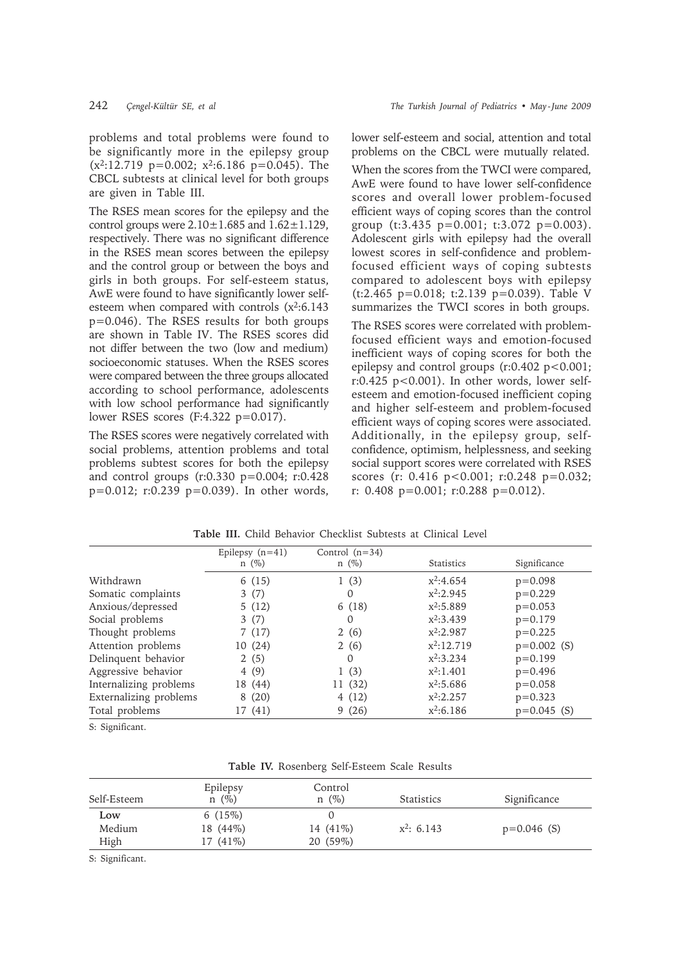problems and total problems were found to be significantly more in the epilepsy group  $(x^2:12.719 \text{ p}=0.002; x^2:6.186 \text{ p}=0.045)$ . The CBCL subtests at clinical level for both groups are given in Table III.

The RSES mean scores for the epilepsy and the control groups were  $2.10 \pm 1.685$  and  $1.62 \pm 1.129$ , respectively. There was no significant difference in the RSES mean scores between the epilepsy and the control group or between the boys and girls in both groups. For self-esteem status, AwE were found to have significantly lower selfesteem when compared with controls  $(x^2:6.143)$ p=0.046). The RSES results for both groups are shown in Table IV. The RSES scores did not differ between the two (low and medium) socioeconomic statuses. When the RSES scores were compared between the three groups allocated according to school performance, adolescents with low school performance had significantly lower RSES scores (F:4.322 p=0.017).

The RSES scores were negatively correlated with social problems, attention problems and total problems subtest scores for both the epilepsy and control groups (r:0.330 p=0.004; r:0.428 p=0.012; r:0.239 p=0.039). In other words, lower self-esteem and social, attention and total problems on the CBCL were mutually related.

When the scores from the TWCI were compared, AwE were found to have lower self-confidence scores and overall lower problem-focused efficient ways of coping scores than the control group (t:3.435 p=0.001; t:3.072 p=0.003). Adolescent girls with epilepsy had the overall lowest scores in self-confidence and problemfocused efficient ways of coping subtests compared to adolescent boys with epilepsy (t:2.465 p=0.018; t:2.139 p=0.039). Table V summarizes the TWCI scores in both groups.

The RSES scores were correlated with problemfocused efficient ways and emotion-focused inefficient ways of coping scores for both the epilepsy and control groups (r:0.402 p<0.001; r:0.425 p<0.001). In other words, lower selfesteem and emotion-focused inefficient coping and higher self-esteem and problem-focused efficient ways of coping scores were associated. Additionally, in the epilepsy group, selfconfidence, optimism, helplessness, and seeking social support scores were correlated with RSES scores (r: 0.416 p<0.001; r:0.248 p=0.032; r: 0.408 p=0.001; r:0.288 p=0.012).

|                        | Epilepsy $(n=41)$<br>$n \ (\%)$ | Control $(n=34)$<br>$n(\%)$ | Statistics   | Significance  |
|------------------------|---------------------------------|-----------------------------|--------------|---------------|
|                        |                                 |                             |              |               |
| Withdrawn              | 6(15)                           | 1(3)                        | $x^2:4.654$  | $p=0.098$     |
| Somatic complaints     | 3(7)                            | 0                           | $x^2:2.945$  | $p=0.229$     |
| Anxious/depressed      | 5(12)                           | 6(18)                       | $x^2:5.889$  | $p = 0.053$   |
| Social problems        | 3(7)                            | $\Omega$                    | $x^2:3.439$  | $p=0.179$     |
| Thought problems       | 7(17)                           | 2(6)                        | $x^2:2.987$  | $p=0.225$     |
| Attention problems     | 10 (24)                         | 2(6)                        | $x^2:12.719$ | $p=0.002$ (S) |
| Delinquent behavior    | 2(5)                            | $\Omega$                    | $x^2:3.234$  | $p=0.199$     |
| Aggressive behavior    | 4(9)                            | 1(3)                        | $x^2:1.401$  | $p=0.496$     |
| Internalizing problems | 18 (44)                         | 11(32)                      | $x^2:5.686$  | $p = 0.058$   |
| Externalizing problems | 8(20)                           | 4(12)                       | $x^2:2.257$  | $p=0.323$     |
| Total problems         | 17 (41)                         | 9(26)                       | $x^2:6.186$  | $p=0.045$ (S) |

**Table III.** Child Behavior Checklist Subtests at Clinical Level

S: Significant.

| Table IV. Rosenberg Self-Esteem Scale Results |  |  |  |
|-----------------------------------------------|--|--|--|
|-----------------------------------------------|--|--|--|

| Self-Esteem | Epilepsy<br>$n(\%)$ | Control<br>$n(\%)$ | <b>Statistics</b> | Significance  |
|-------------|---------------------|--------------------|-------------------|---------------|
| Low         | 6(15%)              |                    |                   |               |
| Medium      | 18 (44\%)           | 14 (41\%)          | $x^2$ : 6.143     | $p=0.046$ (S) |
| High        | $17(41\%)$          | 20 (59%)           |                   |               |

S: Significant.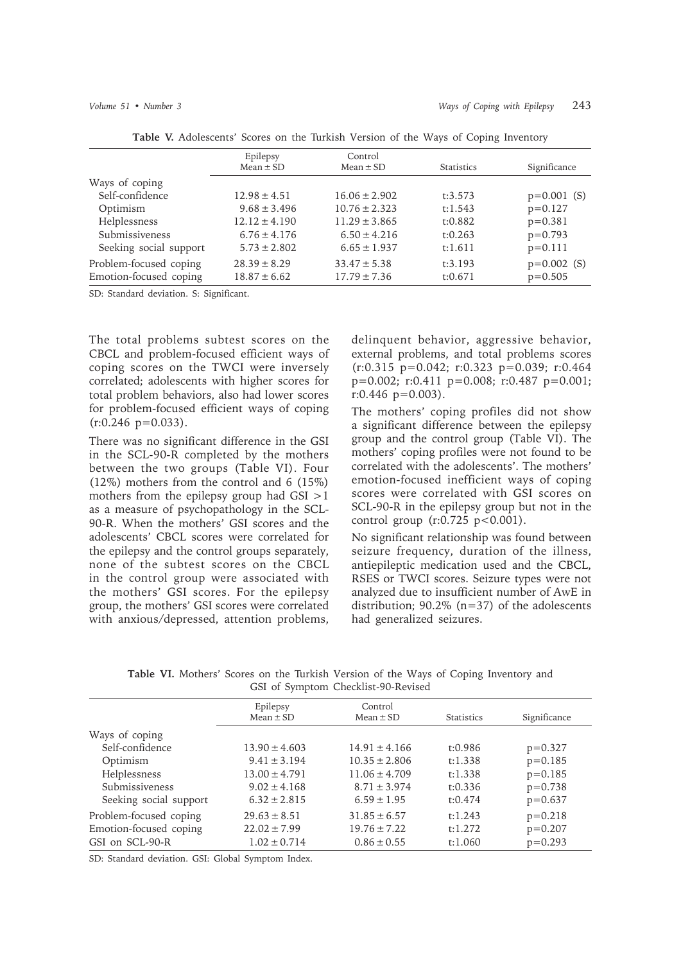|                        | Epilepsy<br>$Mean \pm SD$ | Control<br>$Mean \pm SD$ | <b>Statistics</b> | Significance  |
|------------------------|---------------------------|--------------------------|-------------------|---------------|
| Ways of coping         |                           |                          |                   |               |
| Self-confidence        | $12.98 \pm 4.51$          | $16.06 \pm 2.902$        | t:3.573           | $p=0.001$ (S) |
| Optimism               | $9.68 \pm 3.496$          | $10.76 \pm 2.323$        | t:1.543           | $p=0.127$     |
| Helplessness           | $12.12 \pm 4.190$         | $11.29 \pm 3.865$        | t:0.882           | $p=0.381$     |
| Submissiveness         | $6.76 \pm 4.176$          | $6.50 \pm 4.216$         | t:0.263           | $p=0.793$     |
| Seeking social support | $5.73 \pm 2.802$          | $6.65 \pm 1.937$         | t:1.611           | $p=0.111$     |
| Problem-focused coping | $28.39 \pm 8.29$          | $33.47 \pm 5.38$         | t:3.193           | $p=0.002$ (S) |
| Emotion-focused coping | $18.87 \pm 6.62$          | $17.79 \pm 7.36$         | t:0.671           | $p=0.505$     |

**Table V.** Adolescents' Scores on the Turkish Version of the Ways of Coping Inventory

SD: Standard deviation. S: Significant.

The total problems subtest scores on the CBCL and problem-focused efficient ways of coping scores on the TWCI were inversely correlated; adolescents with higher scores for total problem behaviors, also had lower scores for problem-focused efficient ways of coping  $(r:0.246 \text{ p}=0.033)$ .

There was no significant difference in the GSI in the SCL-90-R completed by the mothers between the two groups (Table VI). Four (12%) mothers from the control and 6 (15%) mothers from the epilepsy group had GSI >1 as a measure of psychopathology in the SCL-90-R. When the mothers' GSI scores and the adolescents' CBCL scores were correlated for the epilepsy and the control groups separately, none of the subtest scores on the CBCL in the control group were associated with the mothers' GSI scores. For the epilepsy group, the mothers' GSI scores were correlated with anxious/depressed, attention problems, delinquent behavior, aggressive behavior, external problems, and total problems scores (r:0.315 p=0.042; r:0.323 p=0.039; r:0.464 p=0.002; r:0.411 p=0.008; r:0.487 p=0.001; r:0.446 p=0.003).

The mothers' coping profiles did not show a significant difference between the epilepsy group and the control group (Table VI). The mothers' coping profiles were not found to be correlated with the adolescents'. The mothers' emotion-focused inefficient ways of coping scores were correlated with GSI scores on SCL-90-R in the epilepsy group but not in the control group  $(r: 0.725 \text{ p} < 0.001)$ .

No significant relationship was found between seizure frequency, duration of the illness, antiepileptic medication used and the CBCL, RSES or TWCI scores. Seizure types were not analyzed due to insufficient number of AwE in distribution; 90.2% (n=37) of the adolescents had generalized seizures.

| Sof of bymptom cheeking so received |                           |                          |            |              |  |
|-------------------------------------|---------------------------|--------------------------|------------|--------------|--|
|                                     | Epilepsy<br>$Mean \pm SD$ | Control<br>Mean $\pm$ SD | Statistics | Significance |  |
| Ways of coping                      |                           |                          |            |              |  |
| Self-confidence                     | $13.90 \pm 4.603$         | $14.91 \pm 4.166$        | t:0.986    | $p = 0.327$  |  |
| Optimism                            | $9.41 \pm 3.194$          | $10.35 \pm 2.806$        | t:1.338    | $p=0.185$    |  |
| Helplessness                        | $13.00 \pm 4.791$         | $11.06 \pm 4.709$        | t:1.338    | $p=0.185$    |  |
| Submissiveness                      | $9.02 \pm 4.168$          | $8.71 \pm 3.974$         | t:0.336    | $p=0.738$    |  |
| Seeking social support              | $6.32 \pm 2.815$          | $6.59 \pm 1.95$          | t:0.474    | $p = 0.637$  |  |
| Problem-focused coping              | $29.63 \pm 8.51$          | $31.85 \pm 6.57$         | t:1.243    | $p=0.218$    |  |
| Emotion-focused coping              | $22.02 \pm 7.99$          | $19.76 \pm 7.22$         | t:1.272    | $p=0.207$    |  |
| GSI on SCL-90-R                     | $1.02 \pm 0.714$          | $0.86 \pm 0.55$          | t:1.060    | $p = 0.293$  |  |

**Table VI.** Mothers' Scores on the Turkish Version of the Ways of Coping Inventory and GSI of Symptom Checklist-90-Revised

SD: Standard deviation. GSI: Global Symptom Index.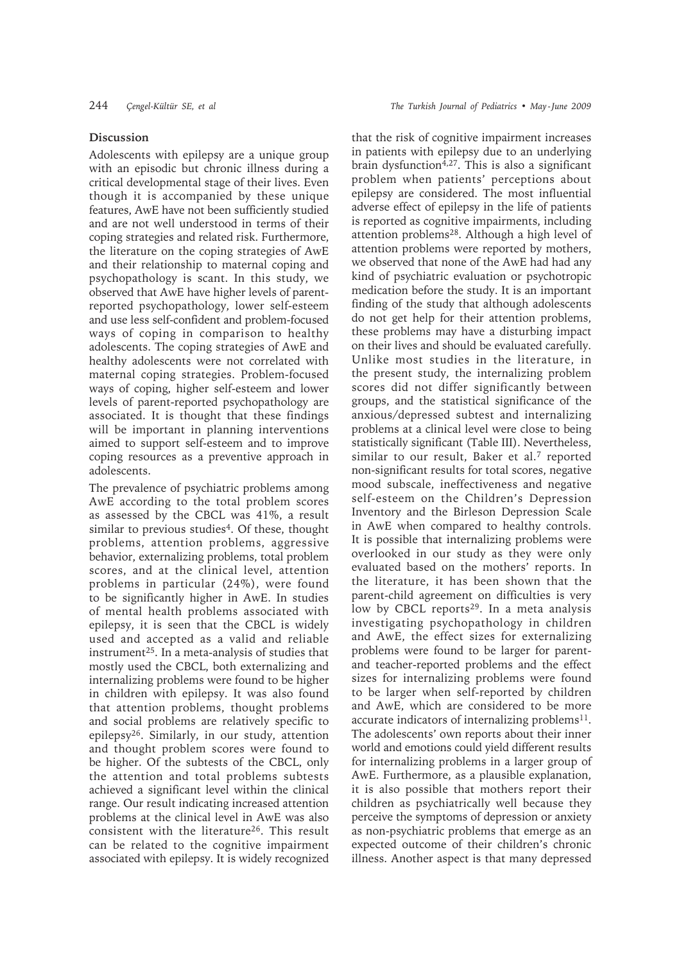# **Discussion**

Adolescents with epilepsy are a unique group with an episodic but chronic illness during a critical developmental stage of their lives. Even though it is accompanied by these unique features, AwE have not been sufficiently studied and are not well understood in terms of their coping strategies and related risk. Furthermore, the literature on the coping strategies of AwE and their relationship to maternal coping and psychopathology is scant. In this study, we observed that AwE have higher levels of parentreported psychopathology, lower self-esteem and use less self-confident and problem-focused ways of coping in comparison to healthy adolescents. The coping strategies of AwE and healthy adolescents were not correlated with maternal coping strategies. Problem-focused ways of coping, higher self-esteem and lower levels of parent-reported psychopathology are associated. It is thought that these findings will be important in planning interventions aimed to support self-esteem and to improve coping resources as a preventive approach in adolescents.

The prevalence of psychiatric problems among AwE according to the total problem scores as assessed by the CBCL was 41%, a result similar to previous studies<sup>4</sup>. Of these, thought problems, attention problems, aggressive behavior, externalizing problems, total problem scores, and at the clinical level, attention problems in particular (24%), were found to be significantly higher in AwE. In studies of mental health problems associated with epilepsy, it is seen that the CBCL is widely used and accepted as a valid and reliable instrument25. In a meta-analysis of studies that mostly used the CBCL, both externalizing and internalizing problems were found to be higher in children with epilepsy. It was also found that attention problems, thought problems and social problems are relatively specific to epilepsy26. Similarly, in our study, attention and thought problem scores were found to be higher. Of the subtests of the CBCL, only the attention and total problems subtests achieved a significant level within the clinical range. Our result indicating increased attention problems at the clinical level in AwE was also consistent with the literature<sup>26</sup>. This result can be related to the cognitive impairment associated with epilepsy. It is widely recognized

that the risk of cognitive impairment increases in patients with epilepsy due to an underlying brain dysfunction $4,27$ . This is also a significant problem when patients' perceptions about epilepsy are considered. The most influential adverse effect of epilepsy in the life of patients is reported as cognitive impairments, including attention problems28. Although a high level of attention problems were reported by mothers, we observed that none of the AwE had had any kind of psychiatric evaluation or psychotropic medication before the study. It is an important finding of the study that although adolescents do not get help for their attention problems, these problems may have a disturbing impact on their lives and should be evaluated carefully. Unlike most studies in the literature, in the present study, the internalizing problem scores did not differ significantly between groups, and the statistical significance of the anxious/depressed subtest and internalizing problems at a clinical level were close to being statistically significant (Table III). Nevertheless, similar to our result, Baker et al.<sup>7</sup> reported non-significant results for total scores, negative mood subscale, ineffectiveness and negative self-esteem on the Children's Depression Inventory and the Birleson Depression Scale in AwE when compared to healthy controls. It is possible that internalizing problems were overlooked in our study as they were only evaluated based on the mothers' reports. In the literature, it has been shown that the parent-child agreement on difficulties is very low by CBCL reports<sup>29</sup>. In a meta analysis investigating psychopathology in children and AwE, the effect sizes for externalizing problems were found to be larger for parentand teacher-reported problems and the effect sizes for internalizing problems were found to be larger when self-reported by children and AwE, which are considered to be more accurate indicators of internalizing problems<sup>11</sup>. The adolescents' own reports about their inner world and emotions could yield different results for internalizing problems in a larger group of AwE. Furthermore, as a plausible explanation, it is also possible that mothers report their children as psychiatrically well because they perceive the symptoms of depression or anxiety as non-psychiatric problems that emerge as an expected outcome of their children's chronic illness. Another aspect is that many depressed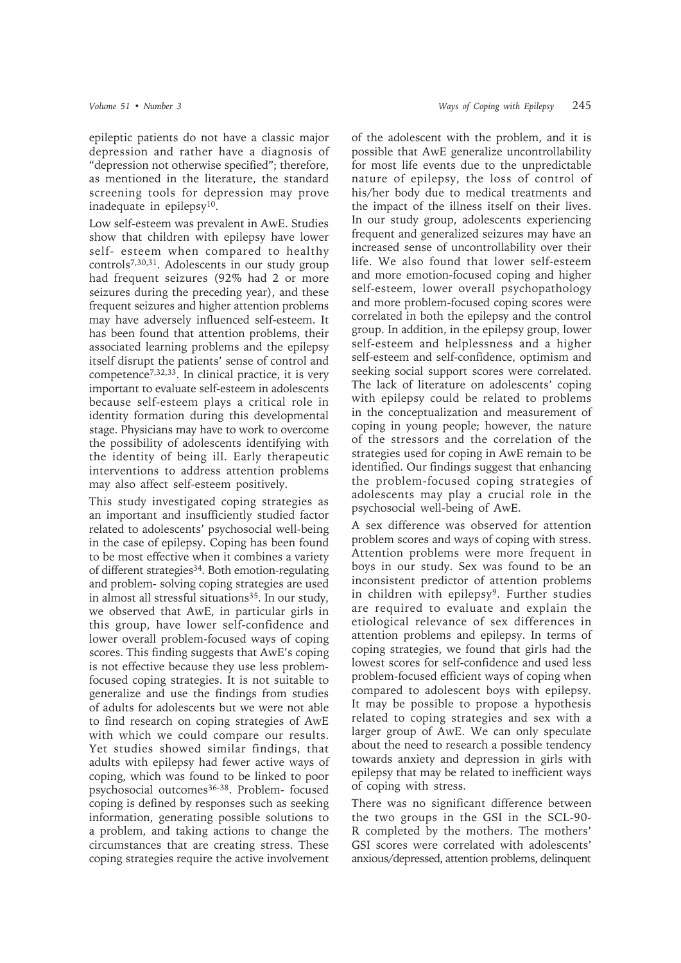epileptic patients do not have a classic major depression and rather have a diagnosis of "depression not otherwise specified"; therefore, as mentioned in the literature, the standard screening tools for depression may prove inadequate in epilepsy10.

Low self-esteem was prevalent in AwE. Studies show that children with epilepsy have lower self- esteem when compared to healthy controls7,30,31. Adolescents in our study group had frequent seizures (92% had 2 or more seizures during the preceding year), and these frequent seizures and higher attention problems may have adversely influenced self-esteem. It has been found that attention problems, their associated learning problems and the epilepsy itself disrupt the patients' sense of control and competence7,32,33. In clinical practice, it is very important to evaluate self-esteem in adolescents because self-esteem plays a critical role in identity formation during this developmental stage. Physicians may have to work to overcome the possibility of adolescents identifying with the identity of being ill. Early therapeutic interventions to address attention problems may also affect self-esteem positively.

This study investigated coping strategies as an important and insufficiently studied factor related to adolescents' psychosocial well-being in the case of epilepsy. Coping has been found to be most effective when it combines a variety of different strategies<sup>34</sup>. Both emotion-regulating and problem- solving coping strategies are used in almost all stressful situations<sup>35</sup>. In our study, we observed that AwE, in particular girls in this group, have lower self-confidence and lower overall problem-focused ways of coping scores. This finding suggests that AwE's coping is not effective because they use less problemfocused coping strategies. It is not suitable to generalize and use the findings from studies of adults for adolescents but we were not able to find research on coping strategies of AwE with which we could compare our results. Yet studies showed similar findings, that adults with epilepsy had fewer active ways of coping, which was found to be linked to poor psychosocial outcomes<sup>36-38</sup>. Problem- focused coping is defined by responses such as seeking information, generating possible solutions to a problem, and taking actions to change the circumstances that are creating stress. These coping strategies require the active involvement

of the adolescent with the problem, and it is possible that AwE generalize uncontrollability for most life events due to the unpredictable nature of epilepsy, the loss of control of his/her body due to medical treatments and the impact of the illness itself on their lives. In our study group, adolescents experiencing frequent and generalized seizures may have an increased sense of uncontrollability over their life. We also found that lower self-esteem and more emotion-focused coping and higher self-esteem, lower overall psychopathology and more problem-focused coping scores were correlated in both the epilepsy and the control group. In addition, in the epilepsy group, lower self-esteem and helplessness and a higher self-esteem and self-confidence, optimism and seeking social support scores were correlated. The lack of literature on adolescents' coping with epilepsy could be related to problems in the conceptualization and measurement of coping in young people; however, the nature of the stressors and the correlation of the strategies used for coping in AwE remain to be identified. Our findings suggest that enhancing the problem-focused coping strategies of adolescents may play a crucial role in the psychosocial well-being of AwE.

A sex difference was observed for attention problem scores and ways of coping with stress. Attention problems were more frequent in boys in our study. Sex was found to be an inconsistent predictor of attention problems in children with epilepsy<sup>9</sup>. Further studies are required to evaluate and explain the etiological relevance of sex differences in attention problems and epilepsy. In terms of coping strategies, we found that girls had the lowest scores for self-confidence and used less problem-focused efficient ways of coping when compared to adolescent boys with epilepsy. It may be possible to propose a hypothesis related to coping strategies and sex with a larger group of AwE. We can only speculate about the need to research a possible tendency towards anxiety and depression in girls with epilepsy that may be related to inefficient ways of coping with stress.

There was no significant difference between the two groups in the GSI in the SCL-90- R completed by the mothers. The mothers' GSI scores were correlated with adolescents' anxious/depressed, attention problems, delinquent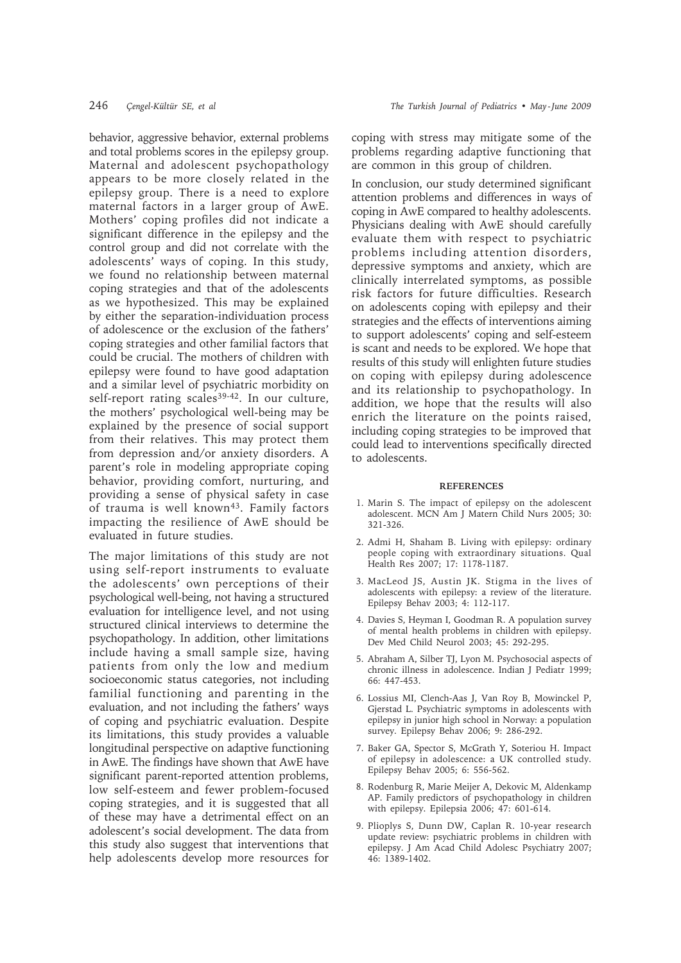behavior, aggressive behavior, external problems and total problems scores in the epilepsy group. Maternal and adolescent psychopathology appears to be more closely related in the epilepsy group. There is a need to explore maternal factors in a larger group of AwE. Mothers' coping profiles did not indicate a significant difference in the epilepsy and the control group and did not correlate with the adolescents' ways of coping. In this study, we found no relationship between maternal coping strategies and that of the adolescents as we hypothesized. This may be explained by either the separation-individuation process of adolescence or the exclusion of the fathers' coping strategies and other familial factors that could be crucial. The mothers of children with epilepsy were found to have good adaptation and a similar level of psychiatric morbidity on self-report rating scales<sup>39-42</sup>. In our culture, the mothers' psychological well-being may be explained by the presence of social support from their relatives. This may protect them from depression and/or anxiety disorders. A parent's role in modeling appropriate coping behavior, providing comfort, nurturing, and providing a sense of physical safety in case of trauma is well known<sup>43</sup>. Family factors impacting the resilience of AwE should be evaluated in future studies.

The major limitations of this study are not using self-report instruments to evaluate the adolescents' own perceptions of their psychological well-being, not having a structured evaluation for intelligence level, and not using structured clinical interviews to determine the psychopathology. In addition, other limitations include having a small sample size, having patients from only the low and medium socioeconomic status categories, not including familial functioning and parenting in the evaluation, and not including the fathers' ways of coping and psychiatric evaluation. Despite its limitations, this study provides a valuable longitudinal perspective on adaptive functioning in AwE. The findings have shown that AwE have significant parent-reported attention problems, low self-esteem and fewer problem-focused coping strategies, and it is suggested that all of these may have a detrimental effect on an adolescent's social development. The data from this study also suggest that interventions that help adolescents develop more resources for

coping with stress may mitigate some of the problems regarding adaptive functioning that are common in this group of children.

In conclusion, our study determined significant attention problems and differences in ways of coping in AwE compared to healthy adolescents. Physicians dealing with AwE should carefully evaluate them with respect to psychiatric problems including attention disorders, depressive symptoms and anxiety, which are clinically interrelated symptoms, as possible risk factors for future difficulties. Research on adolescents coping with epilepsy and their strategies and the effects of interventions aiming to support adolescents' coping and self-esteem is scant and needs to be explored. We hope that results of this study will enlighten future studies on coping with epilepsy during adolescence and its relationship to psychopathology. In addition, we hope that the results will also enrich the literature on the points raised, including coping strategies to be improved that could lead to interventions specifically directed to adolescents.

#### **REFERENCES**

- 1. Marin S. The impact of epilepsy on the adolescent adolescent. MCN Am J Matern Child Nurs 2005; 30: 321-326.
- 2. Admi H, Shaham B. Living with epilepsy: ordinary people coping with extraordinary situations. Qual Health Res 2007; 17: 1178-1187.
- 3. MacLeod JS, Austin JK. Stigma in the lives of adolescents with epilepsy: a review of the literature. Epilepsy Behav 2003; 4: 112-117.
- 4. Davies S, Heyman I, Goodman R. A population survey of mental health problems in children with epilepsy. Dev Med Child Neurol 2003; 45: 292-295.
- 5. Abraham A, Silber TJ, Lyon M. Psychosocial aspects of chronic illness in adolescence. Indian J Pediatr 1999; 66: 447-453.
- 6. Lossius MI, Clench-Aas J, Van Roy B, Mowinckel P, Gjerstad L. Psychiatric symptoms in adolescents with epilepsy in junior high school in Norway: a population survey. Epilepsy Behav 2006; 9: 286-292.
- 7. Baker GA, Spector S, McGrath Y, Soteriou H. Impact of epilepsy in adolescence: a UK controlled study. Epilepsy Behav 2005; 6: 556-562.
- 8. Rodenburg R, Marie Meijer A, Dekovic M, Aldenkamp AP. Family predictors of psychopathology in children with epilepsy. Epilepsia 2006; 47: 601-614.
- 9. Plioplys S, Dunn DW, Caplan R. 10-year research update review: psychiatric problems in children with epilepsy. J Am Acad Child Adolesc Psychiatry 2007; 46: 1389-1402.